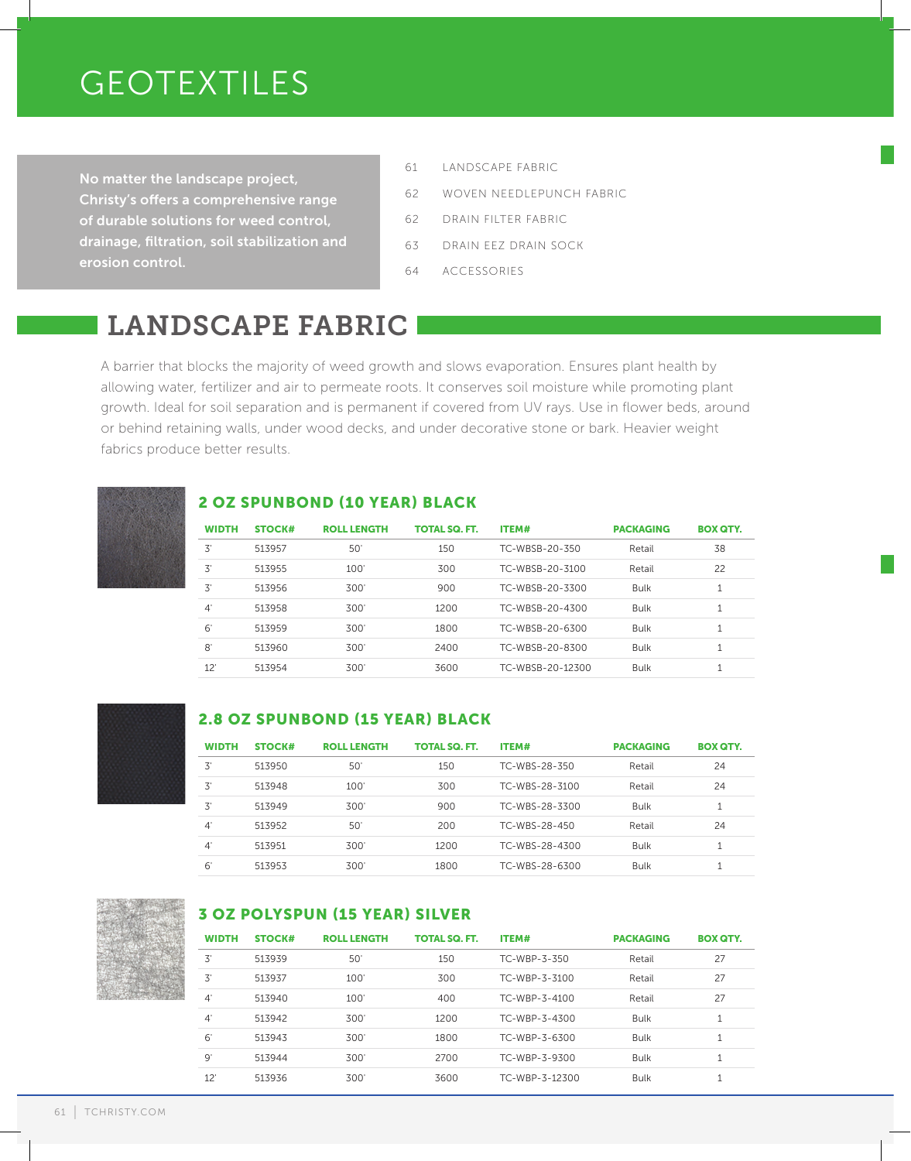# GEOTEXTILES

No matter the landscape project, Christy's offers a comprehensive range of durable solutions for weed control, drainage, filtration, soil stabilization and erosion control.

- 61 LANDSCAPE FABRIC
- 62 WOVEN NEEDLEPUNCH FABRIC
- 62 DRAIN FILTER FABRIC
- 63 DRAIN EEZ DRAIN SOCK
- 64 ACCESSORIES

# LANDSCAPE FABRIC

A barrier that blocks the majority of weed growth and slows evaporation. Ensures plant health by allowing water, fertilizer and air to permeate roots. It conserves soil moisture while promoting plant growth. Ideal for soil separation and is permanent if covered from UV rays. Use in flower beds, around or behind retaining walls, under wood decks, and under decorative stone or bark. Heavier weight fabrics produce better results.



### 2 OZ SPUNBOND (10 YEAR) BLACK

| <b>WIDTH</b> | <b>STOCK#</b> | <b>ROLL LENGTH</b> | <b>TOTAL SQ. FT.</b> | ITEM#            | <b>PACKAGING</b> | <b>BOX QTY.</b> |
|--------------|---------------|--------------------|----------------------|------------------|------------------|-----------------|
| 3'           | 513957        | 50'                | 150                  | TC-WBSB-20-350   | Retail           | 38              |
| 3'           | 513955        | 100'               | 300                  | TC-WBSB-20-3100  | Retail           | 22              |
| 3'           | 513956        | 300'               | 900                  | TC-WBSB-20-3300  | <b>Bulk</b>      | 1               |
| $4^{\circ}$  | 513958        | 300'               | 1200                 | TC-WBSB-20-4300  | <b>Bulk</b>      | $\mathbf{1}$    |
| $6^{\circ}$  | 513959        | 300'               | 1800                 | TC-WBSB-20-6300  | <b>Bulk</b>      | 1               |
| 8'           | 513960        | 300'               | 2400                 | TC-WBSB-20-8300  | <b>Bulk</b>      | 1               |
| 12'          | 513954        | 300'               | 3600                 | TC-WBSB-20-12300 | <b>Bulk</b>      | $\overline{ }$  |



### 2.8 OZ SPUNBOND (15 YEAR) BLACK

| <b>WIDTH</b> | <b>STOCK#</b> | <b>ROLL LENGTH</b> | TOTAL SQ. FT. | ITEM#          | <b>PACKAGING</b> | <b>BOX QTY.</b> |
|--------------|---------------|--------------------|---------------|----------------|------------------|-----------------|
| 3'           | 513950        | 50                 | 150           | TC-WBS-28-350  | Retail           | 24              |
| 3'           | 513948        | 100'               | 300           | TC-WBS-28-3100 | Retail           | 24              |
| 3'           | 513949        | 300                | 900           | TC-WBS-28-3300 | <b>Bulk</b>      |                 |
| $4^{\circ}$  | 513952        | $50^{\circ}$       | 200           | TC-WBS-28-450  | Retail           | 24              |
| $4^{\circ}$  | 513951        | 300                | 1200          | TC-WBS-28-4300 | <b>Bulk</b>      |                 |
| $6^{\circ}$  | 513953        | 300                | 1800          | TC-WBS-28-6300 | Bulk             |                 |



### 3 OZ POLYSPUN (15 YEAR) SILVER

| <b>WIDTH</b> | <b>STOCK#</b> | <b>ROLL LENGTH</b> | <b>TOTAL SQ. FT.</b> | ITEM#          | <b>PACKAGING</b> | <b>BOX QTY.</b> |
|--------------|---------------|--------------------|----------------------|----------------|------------------|-----------------|
| 3'           | 513939        | 50                 | 150                  | TC-WBP-3-350   | Retail           | 27              |
| 3'           | 513937        | 100'               | 300                  | TC-WBP-3-3100  | Retail           | 27              |
| $4^{\circ}$  | 513940        | 100'               | 400                  | TC-WBP-3-4100  | Retail           | 27              |
| $4^{\circ}$  | 513942        | 300'               | 1200                 | TC-WBP-3-4300  | <b>Bulk</b>      | T               |
| 6'           | 513943        | 300'               | 1800                 | TC-WBP-3-6300  | <b>Bulk</b>      | 1               |
| 9'           | 513944        | 300'               | 2700                 | TC-WBP-3-9300  | <b>Bulk</b>      | 1               |
| 12           | 513936        | 300                | 3600                 | TC-WBP-3-12300 | <b>Bulk</b>      | л               |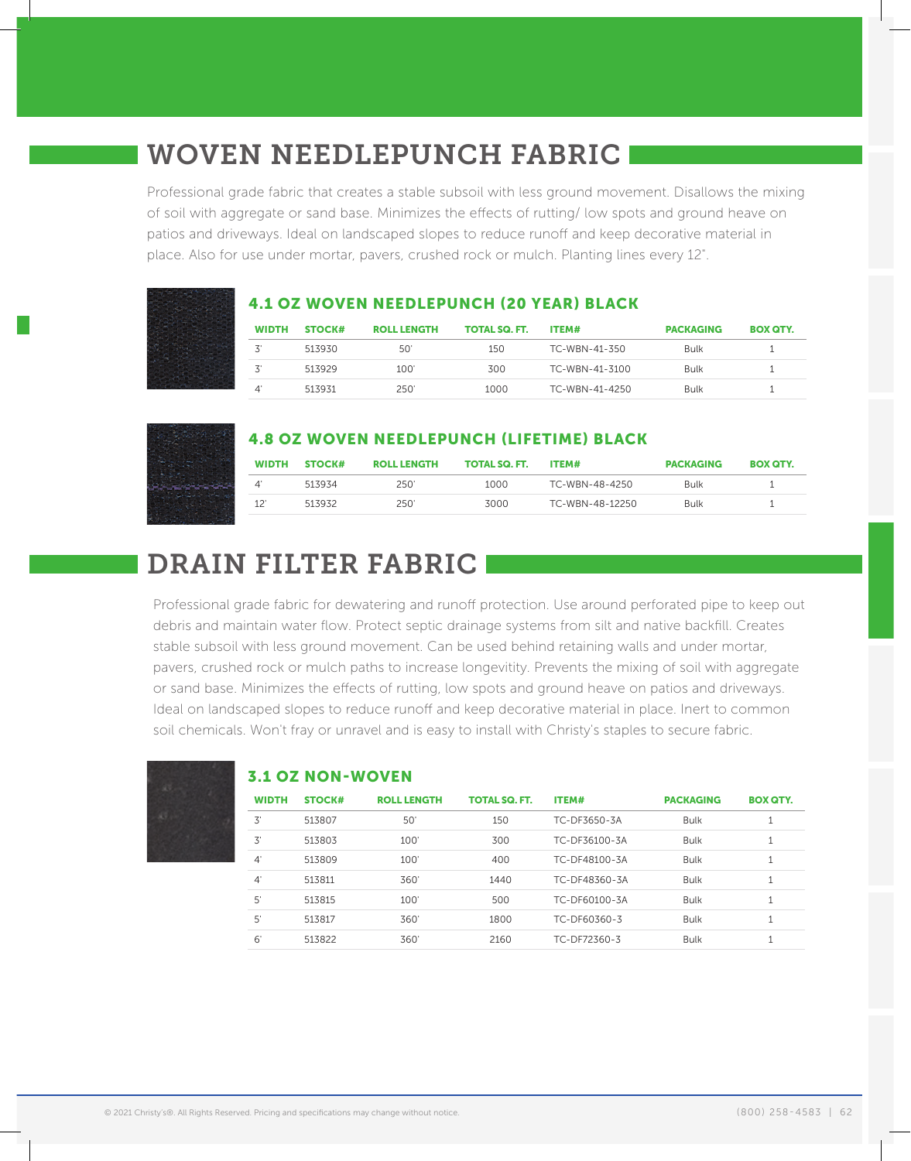### WOVEN NEEDLEPUNCH FABRIC

Professional grade fabric that creates a stable subsoil with less ground movement. Disallows the mixing of soil with aggregate or sand base. Minimizes the effects of rutting/ low spots and ground heave on patios and driveways. Ideal on landscaped slopes to reduce runoff and keep decorative material in place. Also for use under mortar, pavers, crushed rock or mulch. Planting lines every 12".

|              |        |                    |                      | <b>4.1 OZ WOVEN NEEDLEPUNCH (20 YEAR) BLACK</b> |                  |                 |
|--------------|--------|--------------------|----------------------|-------------------------------------------------|------------------|-----------------|
| <b>WIDTH</b> | STOCK# | <b>ROLL LENGTH</b> | <b>TOTAL SQ. FT.</b> | ITEM#                                           | <b>PACKAGING</b> | <b>BOX QTY.</b> |
|              | 513930 | 50'                | 150                  | TC-WBN-41-350                                   | Bulk             |                 |
| 3'           | 513929 | 100'               | 300                  | TC-WBN-41-3100                                  | Bulk             |                 |
| 4            | 513931 | 250'               | 1000                 | TC-WBN-41-4250                                  | Bulk             |                 |

### 4.8 OZ WOVEN NEEDLEPUNCH (LIFETIME) BLACK

| <b>WIDTH</b> | <b>STOCK#</b> | <b>ROLL LENGTH</b> | <b>TOTAL SQ. FT.</b> | ITEM#           | <b>PACKAGING</b> | <b>BOX QTY.</b> |
|--------------|---------------|--------------------|----------------------|-----------------|------------------|-----------------|
|              | 513934        | 250'               | 1000                 | TC-WBN-48-4250  | <b>Bulk</b>      |                 |
| 12'          | 513932        | 250'               | 3000                 | TC-WBN-48-12250 | Bulk             |                 |

# DRAIN FILTER FABRIC

Professional grade fabric for dewatering and runoff protection. Use around perforated pipe to keep out debris and maintain water flow. Protect septic drainage systems from silt and native backfill. Creates stable subsoil with less ground movement. Can be used behind retaining walls and under mortar, pavers, crushed rock or mulch paths to increase longevitity. Prevents the mixing of soil with aggregate or sand base. Minimizes the effects of rutting, low spots and ground heave on patios and driveways. Ideal on landscaped slopes to reduce runoff and keep decorative material in place. Inert to common soil chemicals. Won't fray or unravel and is easy to install with Christy's staples to secure fabric.

| - - |  |  |
|-----|--|--|
|     |  |  |
|     |  |  |
|     |  |  |
|     |  |  |
|     |  |  |

### 3.1 OZ NON-WOVEN

| <b>WIDTH</b> | <b>STOCK#</b> | <b>ROLL LENGTH</b> | <b>TOTAL SQ. FT.</b> | ITEM#         | <b>PACKAGING</b> | <b>BOX QTY.</b> |
|--------------|---------------|--------------------|----------------------|---------------|------------------|-----------------|
| 3'           | 513807        | 50                 | 150                  | TC-DF3650-3A  | <b>Bulk</b>      | J.              |
| 3'           | 513803        | 100'               | 300                  | TC-DF36100-3A | <b>Bulk</b>      | 1               |
| $4^{\circ}$  | 513809        | 100                | 400                  | TC-DF48100-3A | <b>Bulk</b>      | -1<br>ᅩ         |
| $4^{\circ}$  | 513811        | 360'               | 1440                 | TC-DF48360-3A | <b>Bulk</b>      |                 |
| 5'           | 513815        | 100'               | 500                  | TC-DF60100-3A | <b>Bulk</b>      | 1               |
| 5'           | 513817        | 360'               | 1800                 | TC-DF60360-3  | <b>Bulk</b>      |                 |
| 6            | 513822        | 360                | 2160                 | TC-DF72360-3  | <b>Bulk</b>      |                 |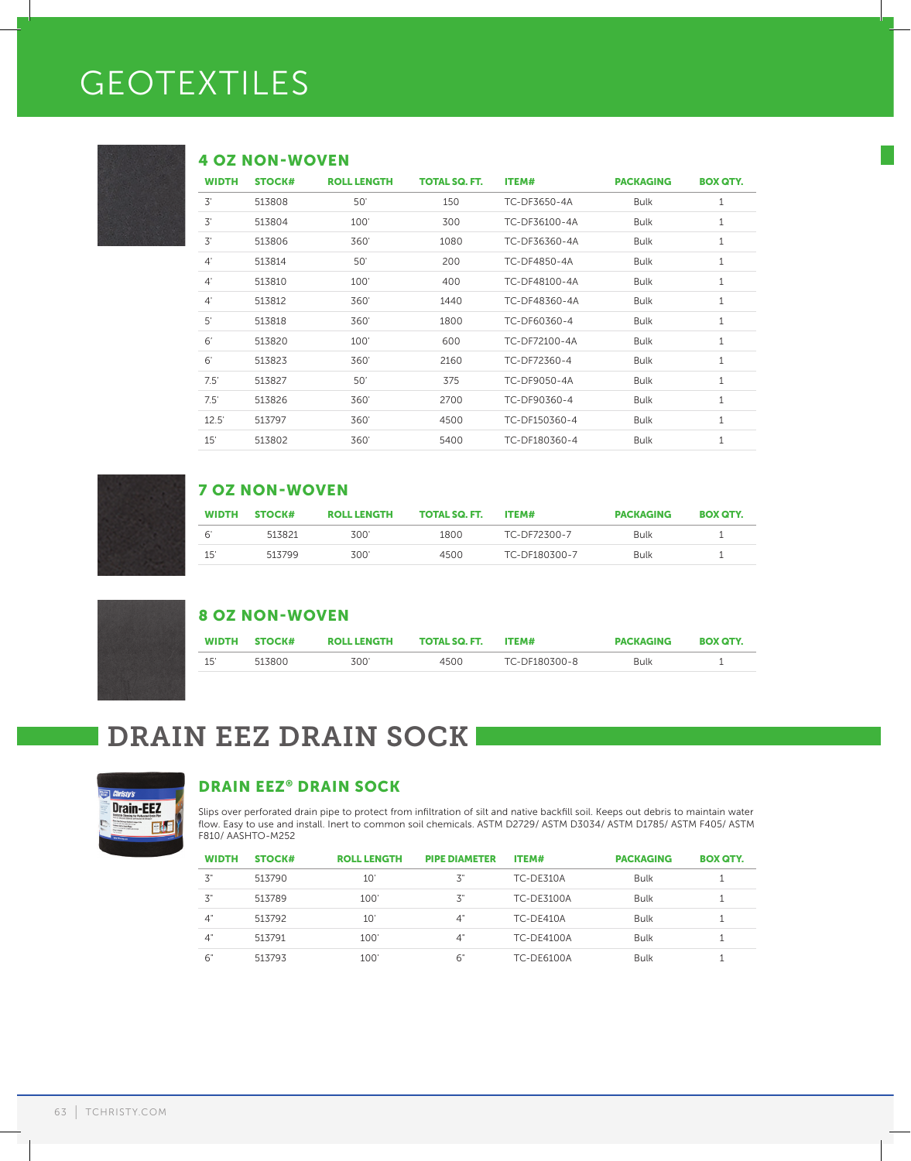# GEOTEXTILES



#### 4 OZ NON-WOVEN

| <b>WIDTH</b> | <b>STOCK#</b> | <b>ROLL LENGTH</b> | <b>TOTAL SQ. FT.</b> | <b>ITEM#</b>  | <b>PACKAGING</b> | <b>BOX QTY.</b> |
|--------------|---------------|--------------------|----------------------|---------------|------------------|-----------------|
| 3'           | 513808        | 50'                | 150                  | TC-DF3650-4A  | <b>Bulk</b>      | 1               |
| 3'           | 513804        | 100'               | 300                  | TC-DF36100-4A | <b>Bulk</b>      | $\mathbf{1}$    |
| 3'           | 513806        | 360'               | 1080                 | TC-DF36360-4A | <b>Bulk</b>      | 1               |
| $4^{\circ}$  | 513814        | 50'                | 200                  | TC-DF4850-4A  | <b>Bulk</b>      | 1               |
| $4^{\circ}$  | 513810        | 100'               | 400                  | TC-DF48100-4A | <b>Bulk</b>      | $\mathbf{1}$    |
| $4^{\circ}$  | 513812        | 360'               | 1440                 | TC-DF48360-4A | <b>Bulk</b>      | 1               |
| $5^{\circ}$  | 513818        | 360'               | 1800                 | TC-DF60360-4  | <b>Bulk</b>      | 1               |
| 6'           | 513820        | 100'               | 600                  | TC-DF72100-4A | <b>Bulk</b>      | $\mathbf 1$     |
| 6'           | 513823        | 360'               | 2160                 | TC-DF72360-4  | <b>Bulk</b>      | 1               |
| 7.5'         | 513827        | 50'                | 375                  | TC-DF9050-4A  | <b>Bulk</b>      | $\mathbf{1}$    |
| 7.5'         | 513826        | 360'               | 2700                 | TC-DF90360-4  | <b>Bulk</b>      | $\mathbf{1}$    |
| 12.5'        | 513797        | 360'               | 4500                 | TC-DF150360-4 | <b>Bulk</b>      | 1               |
| 15'          | 513802        | 360'               | 5400                 | TC-DF180360-4 | <b>Bulk</b>      | 1               |

### 7 OZ NON-WOVEN

| <b>WIDTH</b> | STOCK# | <b>ROLL LENGTH</b> | <b>TOTAL SQ. FT.</b> | ITEM#         | <b>PACKAGING</b> | <b>BOX QTY.</b> |
|--------------|--------|--------------------|----------------------|---------------|------------------|-----------------|
| μ            | 513821 | 300'               | 1800                 | TC-DF72300-7  | <b>Bulk</b>      |                 |
| 15           | 513799 | 300'               | 4500                 | TC-DF180300-7 | <b>Bulk</b>      |                 |

| <b>8 OZ NON-WOVEN</b> |  |  |  |
|-----------------------|--|--|--|
|                       |  |  |  |
|                       |  |  |  |

|     | WIDTH STOCK# | <b>ROLL LENGTH</b> | <b>TOTAL SQ. FT.</b> | ITEM#         | <b>PACKAGING</b> | <b>BOX QTY.</b> |
|-----|--------------|--------------------|----------------------|---------------|------------------|-----------------|
| 15' | 513800       | 300'               | 4500                 | TC-DF180300-8 | <b>Bulk</b>      |                 |

# DRAIN EEZ DRAIN SOCK



### DRAIN EEZ® DRAIN SOCK

Slips over perforated drain pipe to protect from infiltration of silt and native backfill soil. Keeps out debris to maintain water flow. Easy to use and install. Inert to common soil chemicals. ASTM D2729/ ASTM D3034/ ASTM D1785/ ASTM F405/ ASTM F810/ AASHTO-M252

| <b>WIDTH</b> | <b>STOCK#</b> | <b>ROLL LENGTH</b> | <b>PIPE DIAMETER</b> | ITEM#             | <b>PACKAGING</b> | <b>BOX QTY.</b> |
|--------------|---------------|--------------------|----------------------|-------------------|------------------|-----------------|
| 3"           | 513790        | $10^{\circ}$       | 3"                   | TC-DE310A         | Bulk             |                 |
| 3"           | 513789        | 100'               | 3"                   | <b>TC-DE3100A</b> | <b>Bulk</b>      |                 |
| 4"           | 513792        | 10'                | 4"                   | TC-DE410A         | <b>Bulk</b>      |                 |
| 4"           | 513791        | 100'               | 4"                   | <b>TC-DE4100A</b> | <b>Bulk</b>      |                 |
| 6"           | 513793        | 100'               | -6"                  | <b>TC-DE6100A</b> | <b>Bulk</b>      |                 |